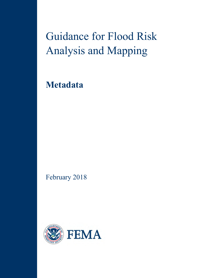# Guidance for Flood Risk Analysis and Mapping

**Metadata**

February 2018

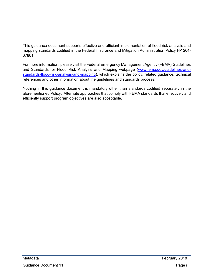This guidance document supports effective and efficient implementation of flood risk analysis and mapping standards codified in the Federal Insurance and Mitigation Administration Policy FP 204- 07801.

For more information, please visit the Federal Emergency Management Agency (FEMA) Guidelines and Standards for Flood Risk Analysis and Mapping webpage [\(www.fema.gov/guidelines-and](https://www.fema.gov/guidelines-and-standards-flood-risk-analysis-and-mapping)[standards-flood-risk-analysis-and-mapping\)](https://www.fema.gov/guidelines-and-standards-flood-risk-analysis-and-mapping), which explains the policy, related guidance, technical references and other information about the guidelines and standards process.

Nothing in this guidance document is mandatory other than standards codified separately in the aforementioned Policy. Alternate approaches that comply with FEMA standards that effectively and efficiently support program objectives are also acceptable.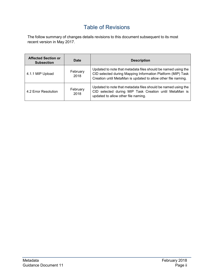## Table of Revisions

The follow summary of changes details revisions to this document subsequent to its most recent version in May 2017.

| <b>Affected Section or</b><br><b>Subsection</b> | <b>Date</b>      | <b>Description</b>                                                                                                                                                                            |
|-------------------------------------------------|------------------|-----------------------------------------------------------------------------------------------------------------------------------------------------------------------------------------------|
| 4.1.1 MIP Upload                                | February<br>2018 | Updated to note that metadata files should be named using the<br>CID selected during Mapping Information Platform (MIP) Task<br>Creation until MetaMan is updated to allow other file naming. |
| 4.2 Error Resolution                            | February<br>2018 | Updated to note that metadata files should be named using the<br>CID selected during MIP Task Creation until MetaMan is<br>updated to allow other file naming.                                |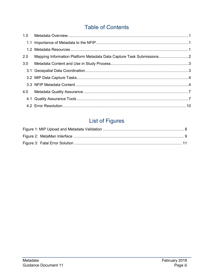## **Table of Contents**

| 1.0 |  |
|-----|--|
|     |  |
|     |  |
| 2.0 |  |
| 3.0 |  |
|     |  |
|     |  |
|     |  |
| 4.0 |  |
|     |  |
|     |  |

# **List of Figures**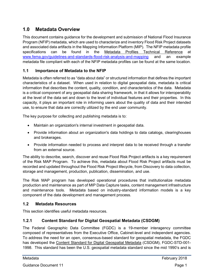#### <span id="page-4-0"></span>**1.0 Metadata Overview**

This document contains guidance for the development and submission of National Flood Insurance Program (NFIP) metadata, which are used to characterize and inventory Flood Risk Project datasets and associated data artifacts in the Mapping Information Platform (MIP). The NFIP metadata profile specifications can be found in the Metadata Profiles Technical Reference at [www.fema.gov/guidelines-and-standards-flood-risk-analysis-and-mapping](https://www.fema.gov/guidelines-and-standards-flood-risk-analysis-and-mapping) and an example metadata file compliant with each of the NFIP metadata profiles can be found at the same location.

#### <span id="page-4-1"></span>**1.1 Importance of Metadata to the NFIP**

Metadata is often referred to as "data about data" or structured information that defines the important characteristics of a dataset. When used in relation to digital geospatial data, metadata is critical information that describes the content, quality, condition, and characteristics of the data. Metadata is a critical component of any geospatial data sharing framework, in that it allows for interoperability at the level of the data set and down to the level of individual features and their properties. In this capacity, it plays an important role in informing users about the quality of data and their intended use, to ensure that data are correctly utilized by the end user community.

The key purpose for collecting and publishing metadata is to:

- Maintain an organization's internal investment in geospatial data.
- Provide information about an organization's data holdings to data catalogs, clearinghouses and brokerages.
- Provide information needed to process and interpret data to be received through a transfer from an external source.

The ability to describe, search, discover and reuse Flood Risk Project artifacts is a key requirement of the Risk MAP Program. To achieve this, metadata about Flood Risk Project artifacts must be recorded and updated throughout the Flood Risk Project lifecycle, from Discovery to data collection, storage and management, production, publication, dissemination, and use.

The Risk MAP program has developed operational procedures that institutionalize metadata production and maintenance as part of MIP Data Capture tasks, content management infrastructure and maintenance tools. Metadata based on industry-standard information models is a key component of the data development and management process.

#### <span id="page-4-2"></span>**1.2 Metadata Resources**

This section identifies useful metadata resources.

#### **1.2.1 Content Standard for Digital Geospatial Metadata (CSDGM)**

The Federal Geographic Data Committee (FGDC) is a 19-member interagency committee composed of representatives from the Executive Office, Cabinet-level and independent agencies. To address the need for an open, consensus-based standard for geospatial metadata, the FGDC has developed the Content Standard for Digital Geospatial Metadata (CSDGM), FGDC-STD-001-1998. This standard has been the U.S. geospatial metadata standard since the mid 1990's and is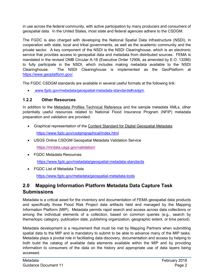in use across the federal community, with active participation by many producers and consumers of geospatial data. In the United States, most state and federal agencies adhere to the CSDGM.

The FGDC is also charged with developing the National Spatial Data Infrastructure (NSDI), in cooperation with state, local and tribal governments, as well as the academic community and the private sector. A key component of the NSDI is the NSDI Clearinghouse, which is an electronic service that provides access to geospatial data and metadata from distributed sources. FEMA is mandated in the revised OMB Circular A-16 (Executive Order 12906, as amended by E.O. 13286) to fully participate in the NSDI, which includes making metadata available to the NSDI Clearinghouse. The NSDI Clearinghouse is implemented as the GeoPlatform at [https://www.geoplatform.gov/.](https://www.geoplatform.gov/)

The FGDC CSDGM standards are available in several useful formats at the following link:

• [www.fgdc.gov/metadata/geospatial-metadata-standards#csdgm.](https://rmd.msc.fema.gov/Data%20%20Dissemination/Document%20Concurrence%20Approval%20Tracking/2.%20To%20Be%20Reviewed/Guidance%20and%20Standards%20-%20Fall%202017/www.fgdc.gov/metadata/geospatial-metadata-standards)

#### **1.2.2 Other Resources**

In addition to the Metadata Profiles Technical Reference and the sample metadata XMLs, other potentially useful resources related to National Flood Insurance Program (NFIP) metadata preparation and validation are provided:

- Graphical representation of the Content Standard for Digital Geospatial Metadata <https://www.fgdc.gov/csdgmgraphical/index.html>
- USGS Online CSDGM Geospatial Metadata Validation Service <https://mrdata.usgs.gov/validation/>
- FGDC Metadata Resources

<https://www.fgdc.gov/metadata/geospatial-metadata-standards>

• FGDC List of Metadata Tools <https://www.fgdc.gov/metadata/geospatial-metadata-tools>

#### <span id="page-5-0"></span>**2.0 Mapping Information Platform Metadata Data Capture Task Submissions**

Metadata is a critical asset for the inventory and documentation of FEMA geospatial data products and specifically those Flood Risk Project data artifacts held and managed by the Mapping Information Platform (MIP). Metadata permits rapid search and access across data collections or among the individual elements of a collection, based on common queries (e.g., search by theme/topic category, publication date, publishing organization, geographic extent, or time period).

Metadata development is a requirement that must be met by Mapping Partners when submitting spatial data to the MIP and is mandatory to submit to be able to advance many of the MIP tasks. Metadata plays a pivotal role in facilitating data discovery, documentation and access by helping to both build the catalog of available data elements available within the MIP and by providing information to consumers of the data on the history and appropriate use of data layers being accessed.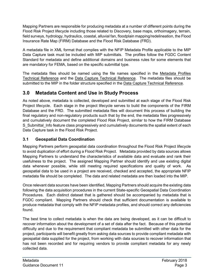Mapping Partners are responsible for producing metadata at a number of different points during the Flood Risk Project lifecycle including those related to Discovery, base maps, orthoimagery, terrain, field surveys, hydrology, hydraulics, coastal, alluvial fan, floodplain mapping/redelineation, the Flood Insurance Rate Map (FIRM) Database and the Flood Risk Database (FRD).

A metadata file in XML format that complies with the NFIP Metadata Profile applicable to the MIP Data Capture task must be included with MIP submittals. The profiles follow the FGDC Content Standard for metadata and define additional domains and business rules for some elements that are mandatory for FEMA, based on the specific submittal type.

The metadata files should be named using the file names specified in the Metadata Profiles Technical Reference and the Data Capture Technical Reference. The metadata files should be submitted to the MIP in the folder structure specified in the Data Capture Technical Reference.

### <span id="page-6-0"></span>**3.0 Metadata Content and Use in Study Process**

As noted above, metadata is collected, developed and submitted at each stage of the Flood Risk Project lifecycle. Each stage in the project lifecycle serves to build the components of the FIRM Database and the FRD. The submitted metadata files will document this process of building the final regulatory and non-regulatory products such that by the end, the metadata files progressively and cumulatively document the completed Flood Risk Project, similar to how the FIRM Database S Submittal Info feature class progressively and cumulatively documents the spatial extent of each Data Capture task in the Flood Risk Project.

#### <span id="page-6-1"></span>**3.1 Geospatial Data Coordination**

Mapping Partners perform geospatial data coordination throughout the Flood Risk Project lifecycle to avoid duplication of effort during a Flood Risk Project. Metadata provided by data sources allows Mapping Partners to understand the characteristics of available data and evaluate and rank their usefulness to the project. The assigned Mapping Partner should identify and use existing digital data whenever possible, while still meeting required specifications and quality of work. As geospatial data to be used in a project are received, checked and accepted, the appropriate NFIP metadata file should be completed. The data and related metadata are then loaded into the MIP.

Once relevant data sources have been identified, Mapping Partners should acquire the existing data following the data acquisition procedures in the current State-specific Geospatial Data Coordination Procedures. Each distinct dataset that is gathered should be accompanied by metadata that is FGDC compliant. Mapping Partners should check that sufficient documentation is available to produce metadata that comply with the NFIP metadata profiles, and should correct any deficiencies found.

The best time to collect metadata is when the data are being developed, as it can be difficult to recover information about the development of a set of data after the fact. Because of this potential difficulty and due to the requirement that compliant metadata be submitted with other data for the project, participants will benefit greatly from asking data sources to provide compliant metadata with geospatial data supplied for the project, from working with data sources to recover information that has not been recorded and for requiring vendors to provide compliant metadata for any newly collected data.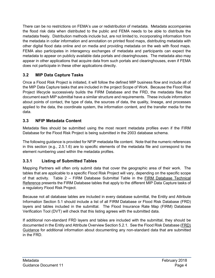There can be no restrictions on FEMA's use or redistribution of metadata. Metadata accompanies the flood risk data when distributed to the public and FEMA needs to be able to distribute the metadata freely. Distribution methods include but, are not limited to, incorporating information from the metadata in collar information and annotation on printed flood maps, distributing metadata with other digital flood data online and on media and providing metadata on the web with flood maps. FEMA also participates in interagency exchanges of metadata and participants can expect the metadata to appear on publicly available data portals and clearinghouses. The metadata also may appear in other applications that acquire data from such portals and clearinghouses, even if FEMA does not participate in these other applications directly.

#### <span id="page-7-0"></span>**3.2 MIP Data Capture Tasks**

Once a Flood Risk Project is initiated, it will follow the defined MIP business flow and include all of the MIP Data Capture tasks that are included in the project Scope of Work. Because the Flood Risk Project lifecycle successively builds the FIRM Database and the FRD, the metadata files that document each MIP submittal have a similar structure and requirements. These include information about points of contact, the type of data, the sources of data, the quality, lineage, and processes applied to the data, the coordinate system, the information content, and the transfer media for the data.

#### <span id="page-7-1"></span>**3.3 NFIP Metadata Content**

Metadata files should be submitted using the most recent metadata profiles even if the FIRM Database for the Flood Risk Project is being submitted in the 2003 database schema.

The following guidance is provided for NFIP metadata file content. Note that the numeric references in this section (e.g., 2.5.1.6) are to specific elements of the metadata file and correspond to the element numbering used within the metadata profiles.

#### **3.3.1 Listing of Submitted Tables**

Mapping Partners will often only submit data that cover the geographic area of their work. The tables that are applicable to a specific Flood Risk Project will vary, depending on the specific scope of that activity. Table 2 – FIRM Database Submittal Table in the FIRM Database Technical Reference presents the FIRM Database tables that apply to the different MIP Data Capture tasks of a regulatory Flood Risk Project.

Because not all database tables are included in every database submittal, the Entity and Attribute Information Section 5.1 should include a list of all FIRM Database or Flood Risk Database (FRD) layers and tables included in the submittal. The Flood Insurance Rate Map (FIRM) Database Verification Tool (DVT) will check that this listing agrees with the submitted data.

If additional non-standard FRD layers and tables are included with the submittal, they should be documented in the Entity and Attribute Overview Section 5.2.1. See the Flood Risk Database (FRD) Guidance for additional information about documenting any non-standard data that are submitted in the FRD.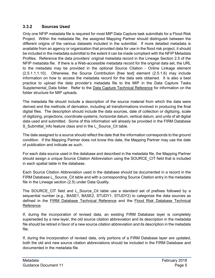#### **3.3.2 Sources Used**

Only one NFIP metadata file is required for most MIP Data Capture task submittals for a Flood Risk Project. Within the metadata file, the assigned Mapping Partner should distinguish between the different origins of the various datasets included in the submittal. If more detailed metadata is available from an agency or organization that provided data for use in the flood risk project, it should be included in the metadata submittal to the extent it can be made compliant with the NFIP Metadata Profiles. Reference the data providers' original metadata record in the Lineage Section 2.5 of the NFIP metadata file. If there is a Web-accessible metadata record for the original data set, the URL to the metadata may be provided in the optional Source Citation - Online Linkage element (2.5.1.1.1.10). Otherwise, the Source Contribution [free text] element (2.5.1.6) may include information on how to access the metadata record for the data sets obtained. It is also a best practice to upload the data provider's metadata file to the MIP in the Data Capture Tasks Supplemental Data folder. Refer to the Data Capture Technical Reference for information on the folder structure for MIP uploads.

The metadata file should include a description of the source material from which the data were derived and the methods of derivation, including all transformations involved in producing the final digital files. The description should include the data sources, date of collection or digitizing, scale of digitizing, projections, coordinate systems, horizontal datum, vertical datum, and units of all digital data used and submitted. Some of this information will already be provided in the FIRM Database S\_Submittal\_Info feature class and in the L\_Source\_Cit table.

The date assigned to a source should reflect the date that the information corresponds to the ground condition. If the Mapping Partner does not know this date, the Mapping Partner may use the date of publication and indicate as such.

For each data source used in the database and described in the metadata file, the Mapping Partner should assign a unique Source Citation Abbreviation using the SOURCE\_CIT field that is included in each spatial table in the database.

Each Source Citation Abbreviation used in the database should be documented in a record in the FIRM Database L\_Source\_Cit table and with a corresponding Source Citation entry in the metadata file in the Lineage section (2.5) under Data Quality.

The SOURCE\_CIT field and L\_Source\_Cit table use a standard set of prefixes followed by a sequential number (e.g., BASE1, BASE2, STUDY1, STUDY2) to categorize the data sources as defined in the FIRM Database Technical Reference and the Flood Risk Database Technical Reference.

If, during the incorporation of revised data, an existing FIRM Database layer is completely superseded by a new layer, the old source citation abbreviation and its description in the metadata file should be retired in favor of a new source citation abbreviation and its description in the metadata file.

If, during the incorporation of revised data, only portions of a FIRM Database layer are updated, both the old and new source citation abbreviations should be included in the FIRM Database and documented in the metadata file.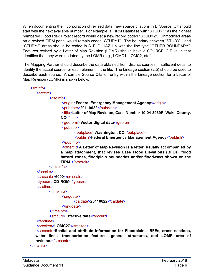When documenting the incorporation of revised data, new source citations in L\_Source\_Cit should start with the next available number. For example, a FIRM Database with "STUDY1" as the highest numbered Flood Risk Project record would get a new record coded "STUDY2". Unmodified areas on a revised FIRM panel would remain coded "STUDY1". The boundary between "STUDY1" and "STUDY2" areas should be coded in S\_FLD\_HAZ\_LN with the line type "OTHER BOUNDARY". Features revised by a Letter of Map Revision (LOMR) should have a SOURCE\_CIT value that identifies that they were updated by the LOMR (e.g., LOMC1, LOMC2, etc.).

The Mapping Partner should describe the data obtained from distinct sources in sufficient detail to identify the actual source for each element in the file. The Lineage section (2.5) should be used to describe each source. A sample Source Citation entry within the Lineage section for a Letter of Map Revision (LOMR) is shown below.

<srcinfo>

#### <srccite>

<citeinfo>

<origin>Federal Emergency Management Agency</origin> <pubdate>**20110622**</pubdate>

<title>**Letter of Map Revision, Case Number 10-04-3939P, Wake County,**  NC</title>

<geoform>**Vector digital data**</geoform>

<pubinfo>

<pubplace>**Washington, DC**</pubplace>

<publish>**Federal Emergency Management Agency**</publish>

#### </pubinfo>

<othercit>**A Letter of Map Revision is a letter, usually accompanied by a map attachment, that revises Base Flood Elevations (BFEs), flood hazard zones, floodplain boundaries and/or floodways shown on the FIRM.**</othercit>

</citeinfo>

```
</srccite>
```

```
<srcscale>6000</srcscale>
```
<typesrc>**CD-ROM**</typesrc>

<srctime>

<timeinfo>

<sngdate>

<caldate>**20110622**</caldate>

```
</sngdate>
```
</timeinfo>

<srccurr>**Effective date</srccurr>** 

</srctime>

<srccitea>**LOMC27**</srccitea>

<srccontr>**Spatial and attribute information for Floodplains, BFEs, cross sections, water lines, transportation features, general structures, and LOMR area of revision.**</srccontr>

</srcinfo>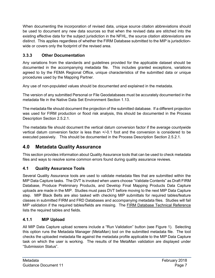When documenting the incorporation of revised data, unique source citation abbreviations should be used to document any new data sources so that when the revised data are stitched into the existing effective data for the subject jurisdiction in the NFHL, the source citation abbreviations are distinct. This applies regardless of whether the FIRM Database submitted to the MIP is jurisdictionwide or covers only the footprint of the revised area.

#### **3.3.3 Other Documentation**

Any variations from the standards and guidelines provided for the applicable dataset should be documented in the accompanying metadata file. This includes granted exceptions, variations agreed to by the FEMA Regional Office, unique characteristics of the submitted data or unique procedures used by the Mapping Partner.

Any use of non-populated values should be documented and explained in the metadata.

The version of any submitted Personal or File Geodatabases must be accurately documented in the metadata file in the Native Data Set Environment Section 1.13.

The metadata file should document the projection of the submitted database. If a different projection was used for FIRM production or flood risk analysis, this should be documented in the Process Description Section 2.5.2.1.

The metadata file should document the vertical datum conversion factor if the average countywide vertical datum conversion factor is less than +/-0.1 foot and the conversion is considered to be executed passively. This should be documented in the Process Description Section 2.5.2.1.

## <span id="page-10-0"></span>**4.0 Metadata Quality Assurance**

This section provides information about Quality Assurance tools that can be used to check metadata files and ways to resolve some common errors found during quality assurance reviews.

#### <span id="page-10-1"></span>**4.1 Quality Assurance Tools**

Several Quality Assurance tools are used to validate metadata files that are submitted within the MIP Data Capture tasks. The DVT is invoked when users choose "Validate Contents" as Draft FIRM Database, Produce Preliminary Products, and Develop Final Mapping Products Data Capture uploads are made in the MIP. Studies must pass DVT before moving to the next MIP Data Capture step. MIP Black Belts are also tasked with checking MIP submittals for required tables/feature classes in submitted FIRM and FRD Databases and accompanying metadata files. Studies will fail MIP validation if the required tables/fields are missing. The FIRM Database Technical Reference lists the required tables and fields.

#### **4.1.1 MIP Upload**

All MIP Data Capture upload screens include a "Run Validation" button (see Figure 1). Selecting this option runs the Metadata Manager (MetaMan) tool on the submitted metadata file. The tool checks the uploaded metadata file against the metadata profile applicable to the MIP Data Capture task on which the user is working. The results of the MetaMan validation are displayed under "Submission Status".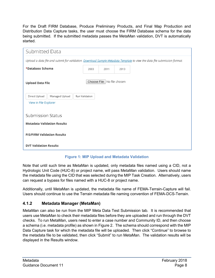For the Draft FIRM Database, Produce Preliminary Products, and Final Map Production and Distribution Data Capture tasks, the user must choose the FIRM Database schema for the data being submitted. If the submitted metadata passes the MetaMan validation, DVT is automatically started.

| <b>Submitted Data</b>                                                                                                    |                       |                              |      |  |  |  |  |
|--------------------------------------------------------------------------------------------------------------------------|-----------------------|------------------------------|------|--|--|--|--|
| Upload a data file and submit for validation. Download Sample Metadata Template to view the data file submission format. |                       |                              |      |  |  |  |  |
| *Database Schema                                                                                                         | 2003                  | 2011                         | 2013 |  |  |  |  |
| <b>Upload Data File</b>                                                                                                  |                       | Choose File   No file chosen |      |  |  |  |  |
| Direct Upload<br>Managed Upload<br>View in File Explorer                                                                 | <b>Run Validation</b> |                              |      |  |  |  |  |
| <b>Submission Status</b>                                                                                                 |                       |                              |      |  |  |  |  |
| <b>Metadata Validation Results</b>                                                                                       |                       |                              |      |  |  |  |  |
| <b>FIS/FIRM Validation Results</b>                                                                                       |                       |                              |      |  |  |  |  |
| <b>DVT Validation Results</b>                                                                                            |                       |                              |      |  |  |  |  |

**Figure 1: MIP Upload and Metadata Validation**

<span id="page-11-0"></span>Note that until such time as MetaMan is updated, only metadata files named using a CID, not a Hydrologic Unit Code (HUC-8) or project name, will pass MetaMan validation. Users should name the metadata file using the CID that was selected during the MIP Task Creation. Alternatively, users can request a bypass for files named with a HUC-8 or project name.

Additionally, until MetaMan is updated, the metadata file name of FEMA-Terrain-Capture will fail. Users should continue to use the Terrain metadata file naming convention of FEMA-DCS-Terrain.

#### **4.1.2 Metadata Manager (MetaMan)**

MetaMan can also be run from the MIP Meta Data Test Submission tab. It is recommended that users use MetaMan to check their metadata files before they are uploaded and run through the DVT checks. To run MetaMan, users need to enter a case number and Community ID, and then choose a schema (i.e. metadata profile) as shown in Figure 2. The schema should correspond with the MIP Data Capture task for which the metadata file will be uploaded. Then click "Continue" to browse to the metadata file to be validated, then click "Submit" to run MetaMan. The validation results will be displayed in the Results window.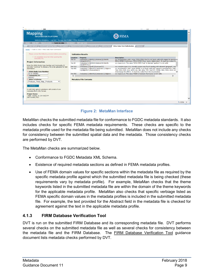| <b>Mapping</b><br><b>INFORMATION PLATFORM</b>                                                                                                                                                                                                                                                                                                                                        |                                                                                |                                                                                                                                                                                                                                                                                                                                                                          |                                                                                                                                                                                                                                                                                                                                                                                                                                                                                                                                                                                                                                                                                                                        |  |
|--------------------------------------------------------------------------------------------------------------------------------------------------------------------------------------------------------------------------------------------------------------------------------------------------------------------------------------------------------------------------------------|--------------------------------------------------------------------------------|--------------------------------------------------------------------------------------------------------------------------------------------------------------------------------------------------------------------------------------------------------------------------------------------------------------------------------------------------------------------------|------------------------------------------------------------------------------------------------------------------------------------------------------------------------------------------------------------------------------------------------------------------------------------------------------------------------------------------------------------------------------------------------------------------------------------------------------------------------------------------------------------------------------------------------------------------------------------------------------------------------------------------------------------------------------------------------------------------------|--|
| Welcome shoegberg   Log Out   Manage User Profile   FEMA Dictionary   MIP Help?<br>News & Events   Tools & Links   Workbench   MIP User Care<br>Risk MAP<br><b>Home</b>                                                                                                                                                                                                              |                                                                                |                                                                                                                                                                                                                                                                                                                                                                          |                                                                                                                                                                                                                                                                                                                                                                                                                                                                                                                                                                                                                                                                                                                        |  |
| Data Upload / Search Engineering Data / File Explorer / Reports & Form Letters / DFIRM DB QA / Address Book                                                                                                                                                                                                                                                                          |                                                                                |                                                                                                                                                                                                                                                                                                                                                                          | <b>Meta Data Test Submission</b><br>Metaman                                                                                                                                                                                                                                                                                                                                                                                                                                                                                                                                                                                                                                                                            |  |
| Home » Tools & Links » Meta Data Test Submission                                                                                                                                                                                                                                                                                                                                     |                                                                                |                                                                                                                                                                                                                                                                                                                                                                          |                                                                                                                                                                                                                                                                                                                                                                                                                                                                                                                                                                                                                                                                                                                        |  |
| Please correct the following error(s) before proceeding:                                                                                                                                                                                                                                                                                                                             |                                                                                | <b>Validation Results</b>                                                                                                                                                                                                                                                                                                                                                |                                                                                                                                                                                                                                                                                                                                                                                                                                                                                                                                                                                                                                                                                                                        |  |
| . An exception occurred when parsing the<br>metadata file.<br><b>Project Information</b><br>Enter the FEMA Study Case Number and Community ID<br>and click "Continue" to choose a file to be uploaded for test<br>submission.<br>* FEMA Study Case Number:<br>15-07-0896S<br>Community ID:<br>19001C<br>Select a Schema:<br>$\checkmark$<br>Produce Final Map Products<br>Continue > | <b>Location</b><br>line 10<br>line 10<br>line 410<br>line 692<br>line 692<br>≺ | <b>Property</b><br>/metadata[1]/idinfo[1]/citation[1]/citeinfo<br>$[1]$ /qeoform $[1]$ /<br>/metadata[1]/idinfo[1]/citation[1]/citeinfo<br>$[1]$ /qeoform $[1]$ /<br>/metadata[1]/spref[1]/horizsys[1]/<br>/metadata[1]/distinfo[1]/stdorder[1]/digform<br>[1]/digtinfo[1]/formname[1]/<br>/metadata[1]/distinfo[1]/stdorder[1]/digform<br><b>Metadata File Contents</b> | <b>Description</b><br>cvc-enumeration-valid: Value 'FEMA-FIRM-Final' is not facet-valid with respect to enumer<br>FEMA-DFIRM-Preliminary, FEMA-DFIRM-Final, Vector digital data]'. It must be a value fro<br>cvc-type.3.1.3: The value 'FEMA-FIRM-Final' of element 'geoform' is not valid.<br>cvc-complex-type.2.4.a: Invalid content was found starting with element 'geograph'. One<br>cvc-enumeration-valid: Value 'PGDB' is not facet-valid with respect to enumeration '[ARC<br>TAB, DWG, DXF, DLG, SDTS, BIL, BIP, BSQ, TIFF, GeoTIFF, MrSID, PNG, JPEG, ARCE, ES<br>Interchange file (MIF)]'. It must be a value from the enumeration.<br>cvc-type.3.1.3: The value 'PGDB' of element 'formname' is not valid. |  |
| A valid data upload submission will consist of one<br>metadata file in XML format.<br><b>Project Name:</b><br>Adair, County, Ia. (O-CW)(CTP<br>Self Funded) REG                                                                                                                                                                                                                      |                                                                                |                                                                                                                                                                                                                                                                                                                                                                          |                                                                                                                                                                                                                                                                                                                                                                                                                                                                                                                                                                                                                                                                                                                        |  |

**Figure 2: MetaMan Interface**

<span id="page-12-0"></span>MetaMan checks the submitted metadata file for conformance to FGDC metadata standards. It also includes checks for specific FEMA metadata requirements. These checks are specific to the metadata profile used for the metadata file being submitted. MetaMan does not include any checks for consistency between the submitted spatial data and the metadata. Those consistency checks are performed by DVT.

The MetaMan checks are summarized below.

- Conformance to FGDC Metadata XML Schema.
- Existence of required metadata sections as defined in FEMA metadata profiles.
- Use of FEMA domain values for specific sections within the metadata file as required by the specific metadata profile against which the submitted metadata file is being checked (these requirements vary by metadata profile). For example, MetaMan checks that the theme keywords listed in the submitted metadata file are within the domain of the theme keywords for the applicable metadata profile. MetaMan also checks that specific verbiage listed as FEMA specific domain values in the metadata profiles is included in the submitted metadata file. For example, the text provided for the Abstract field in the metadata file is checked for agreement against the text in the applicable metadata profile.

#### **4.1.3 FIRM Database Verification Tool**

DVT is run on the submitted FIRM Database and its corresponding metadata file. DVT performs several checks on the submitted metadata file as well as several checks for consistency between the metadata file and the FIRM Database. The FIRM Database Verification Tool guidance document lists metadata checks performed by DVT.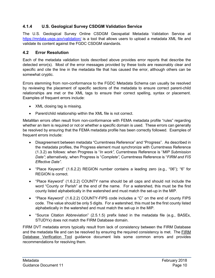#### **4.1.4 U.S. Geological Survey CSDGM Validation Service**

The U.S. Geological Survey Online CSDGM Geospatial Metadata Validation Service at <https://mrdata.usgs.gov/validation/> is a tool that allows users to upload a metadata XML file and validate its content against the FGDC CSDGM standards.

#### <span id="page-13-0"></span>**4.2 Error Resolution**

Each of the metadata validation tools described above provides error reports that describe the detected error(s). Most of the error messages provided by these tools are reasonably clear and specific and cite the line in the metadata file that has caused the error, although others can be somewhat cryptic.

Errors stemming from non-conformance to the FGDC Metadata Schema can usually be resolved by reviewing the placement of specific sections of the metadata to ensure correct parent-child relationships are met or the XML tags to ensure their correct spelling, syntax or placement. Examples of frequent errors include:

- XML closing tag is missing.
- Parent/child relationship within the XML file is not correct.

MetaMan errors often result from non-conformance with FEMA metadata profile "rules" regarding whether an item is required or not or whether a specific domain is used. These errors can generally be resolved by ensuring that the FEMA metadata profile has been correctly followed. Examples of frequent errors include:

- Disagreement between metadata "Currentness Reference" and "Progress". As described in the metadata profiles, the Progress element must synchronize with Currentness Reference (1.3.2) as follows: when Progress is "*In work",* Currentness Reference is "*MIP Submission Date";* alternatively, when Progress is "*Complete",* Currentness Reference is "*FIRM and FIS Effective Date".*
- "Place Keyword" (1.6.2.2) REGION number contains a leading zero (e.g., "06"); "6" for REGION is correct.
- "Place Keyword" (1.6.2.2) COUNTY name should be all caps and should not include the word "County or Parish" at the end of the name. For a watershed, this must be the first county listed alphabetically in the watershed and must match the set-up in the MIP.
- "Place Keyword" (1.6.2.2) COUNTY-FIPS code includes a "C" on the end of county FIPS code. The value should be only 5 digits. For a watershed, this must be the first county listed alphabetically in the watershed and must match the set-up in the MIP.
- "Source Citation Abbreviation" (2.5.1.5) prefix listed in the metadata file (e.g., BASEx, STUDYx) does not match the FIRM Database domain.

FIRM DVT metadata errors typically result from lack of consistency between the FIRM Database and the metadata file and can be resolved by ensuring the required consistency is met. The FIRM Database Verification Tool guidance document lists some common errors and provides recommendations for resolving them.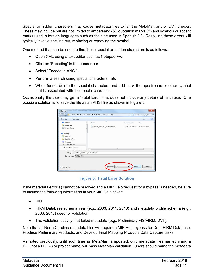Special or hidden characters may cause metadata files to fail the MetaMan and/or DVT checks. These may include but are not limited to ampersand (&), quotation marks ("") and symbols or accent marks used in foreign languages such as the tilde used in Spanish (~). Resolving these errors will typically involve spelling out, replacing or removing the symbol.

One method that can be used to find these special or hidden characters is as follows:

- Open XML using a text editor such as Notepad ++.
- Click on 'Encoding' in the banner bar.
- Select "Encode in ANSI".
- Perform a search using special characters: â€.
- When found, delete the special characters and add back the apostrophe or other symbol that is associated with the special character.

Occasionally the user may get a "Fatal Error" that does not include any details of its cause. One possible solution is to save the file as an ANSI file as shown in Figure 3.

| $\mathbf{x}$<br>Save As                                   |            |                                              |                                        |                                                  |                     |                          |  |
|-----------------------------------------------------------|------------|----------------------------------------------|----------------------------------------|--------------------------------------------------|---------------------|--------------------------|--|
| Computer > Local Disk (C:) > MetaMan > Greene_Co_NY       |            |                                              |                                        | $-44$                                            | Search Greene_Co_NY | Q                        |  |
| Organize -                                                | New folder |                                              |                                        |                                                  | <b>IE -</b>         | $\mathbf{\Omega}$        |  |
| Desktop<br><b>La</b> Downloads<br>Recent Places           |            |                                              | Name<br>2 36039C_20080516_metadata.xml | Date modified<br>11/29/2007 9:45 PM XML Document | Type                |                          |  |
| Desktop<br>Libraries<br>R Hoegberg, Sue<br>Computer       |            |                                              |                                        |                                                  |                     |                          |  |
| Local Disk (C:)                                           |            |                                              |                                        |                                                  |                     |                          |  |
| DVD RW Drive (D:)                                         |            |                                              | in the<br>$\epsilon$                   |                                                  |                     |                          |  |
|                                                           |            | File name: 36039C_20080516_metadata.xml<br>٠ |                                        |                                                  |                     |                          |  |
| Save as type: All Files (*.*)<br>$\triangle$ Hide Folders |            |                                              | Encoding: ANSI                         | Save                                             | Cancel              | $\overline{\phantom{0}}$ |  |
|                                                           |            |                                              |                                        |                                                  |                     |                          |  |

**Figure 3: Fatal Error Solution**

<span id="page-14-0"></span>If the metadata error(s) cannot be resolved and a MIP Help request for a bypass is needed, be sure to include the following information in your MIP Help ticket:

- CID
- FIRM Database schema year (e.g., 2003, 2011, 2013) and metadata profile schema (e.g., 2006, 2013) used for validation.
- The validation activity that failed metadata (e.g., Preliminary FIS/FIRM, DVT).

Note that all North Carolina metadata files will require a MIP Help bypass for Draft FIRM Database, Produce Preliminary Products, and Develop Final Mapping Products Data Capture tasks.

As noted previously, until such time as MetaMan is updated, only metadata files named using a CID, not a HUC-8 or project name, will pass MetaMan validation. Users should name the metadata